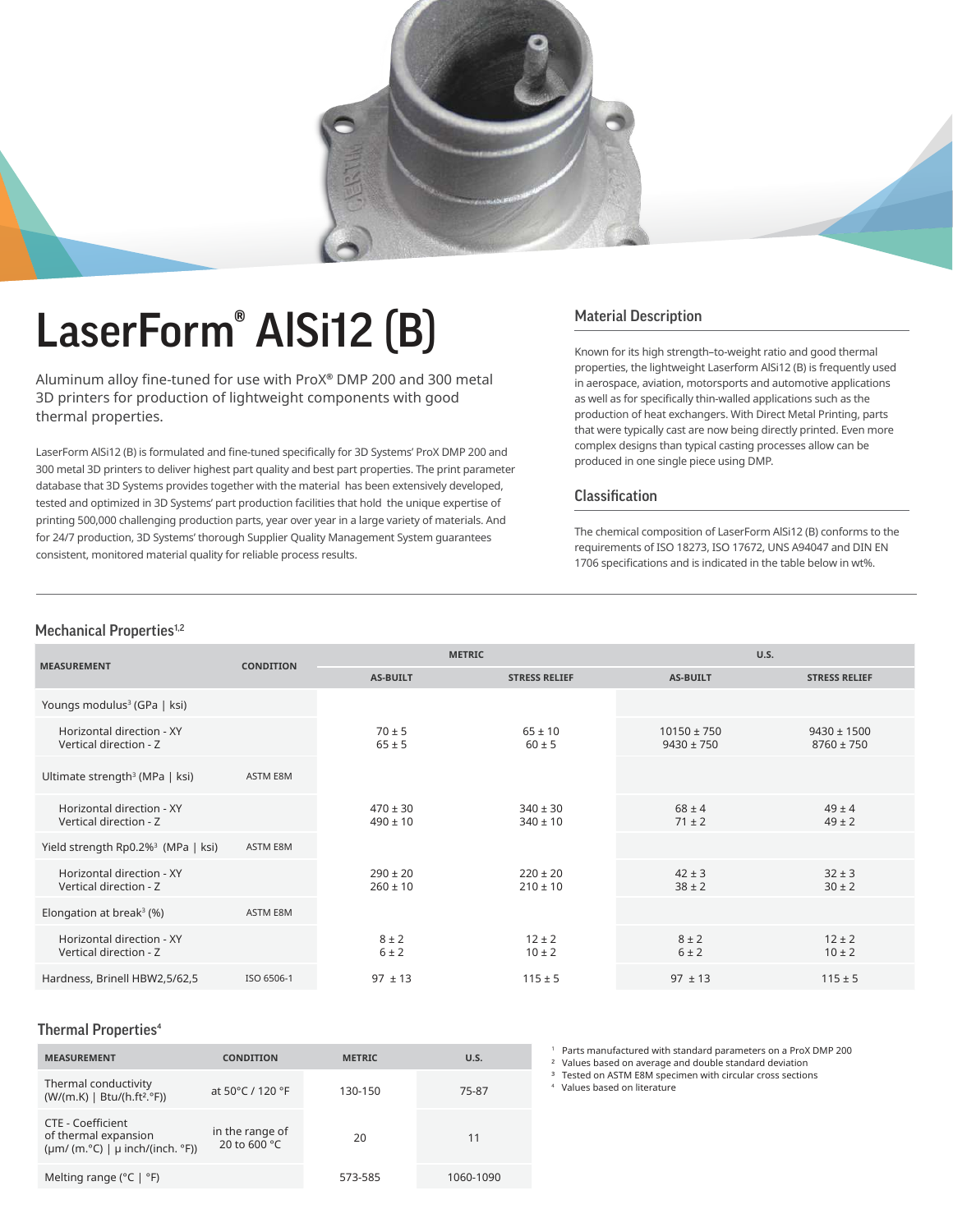

# LaserForm<sup>®</sup> AlSi12 (B) Material Description

Aluminum alloy fine-tuned for use with ProX® DMP 200 and 300 metal 3D printers for production of lightweight components with good thermal properties.

LaserForm AlSi12 (B) is formulated and fine-tuned specifically for 3D Systems' ProX DMP 200 and 300 metal 3D printers to deliver highest part quality and best part properties. The print parameter database that 3D Systems provides together with the material has been extensively developed, tested and optimized in 3D Systems' part production facilities that hold the unique expertise of printing 500,000 challenging production parts, year over year in a large variety of materials. And for 24/7 production, 3D Systems' thorough Supplier Quality Management System guarantees consistent, monitored material quality for reliable process results.

Known for its high strength–to-weight ratio and good thermal properties, the lightweight Laserform AlSi12 (B) is frequently used in aerospace, aviation, motorsports and automotive applications as well as for specifically thin-walled applications such as the production of heat exchangers. With Direct Metal Printing, parts that were typically cast are now being directly printed. Even more complex designs than typical casting processes allow can be produced in one single piece using DMP.

### Classification

The chemical composition of LaserForm AlSi12 (B) conforms to the requirements of ISO 18273, ISO 17672, UNS A94047 and DIN EN 1706 specifications and is indicated in the table below in wt%.

### Mechanical Properties<sup>1,2</sup>

| <b>MEASUREMENT</b>                                  | <b>CONDITION</b> | <b>METRIC</b>                |                              | U.S.                              |                                   |
|-----------------------------------------------------|------------------|------------------------------|------------------------------|-----------------------------------|-----------------------------------|
|                                                     |                  | <b>AS-BUILT</b>              | <b>STRESS RELIEF</b>         | <b>AS-BUILT</b>                   | <b>STRESS RELIEF</b>              |
| Youngs modulus <sup>3</sup> (GPa   ksi)             |                  |                              |                              |                                   |                                   |
| Horizontal direction - XY<br>Vertical direction - Z |                  | $70 \pm 5$<br>$65 \pm 5$     | $65 \pm 10$<br>$60 \pm 5$    | $10150 \pm 750$<br>$9430 \pm 750$ | $9430 \pm 1500$<br>$8760 \pm 750$ |
| Ultimate strength <sup>3</sup> (MPa   ksi)          | ASTM E8M         |                              |                              |                                   |                                   |
| Horizontal direction - XY<br>Vertical direction - Z |                  | $470 \pm 30$<br>$490 \pm 10$ | $340 \pm 30$<br>$340 \pm 10$ | $68 \pm 4$<br>$71 \pm 2$          | $49 \pm 4$<br>$49 \pm 2$          |
| Yield strength Rp0.2% <sup>3</sup> (MPa   ksi)      | ASTM E8M         |                              |                              |                                   |                                   |
| Horizontal direction - XY<br>Vertical direction - Z |                  | $290 \pm 20$<br>$260 \pm 10$ | $220 \pm 20$<br>$210 \pm 10$ | $42 \pm 3$<br>$38 \pm 2$          | $32 \pm 3$<br>$30 \pm 2$          |
| Elongation at break <sup>3</sup> (%)                | ASTM E8M         |                              |                              |                                   |                                   |
| Horizontal direction - XY<br>Vertical direction - Z |                  | $8 \pm 2$<br>6±2             | $12 \pm 2$<br>$10 \pm 2$     | $8 \pm 2$<br>$6 \pm 2$            | $12 \pm 2$<br>$10 \pm 2$          |
| Hardness, Brinell HBW2,5/62,5                       | ISO 6506-1       | $97 \pm 13$                  | $115 \pm 5$                  | $97 \pm 13$                       | $115 \pm 5$                       |

#### Thermal Properties<sup>4</sup>

| <b>MEASUREMENT</b>                                                                                        | <b>CONDITION</b>                | <b>METRIC</b> | U.S.      |
|-----------------------------------------------------------------------------------------------------------|---------------------------------|---------------|-----------|
| Thermal conductivity<br>(W/(m.K)   Btu/(h.ft <sup>2</sup> .°F))                                           | at 50°C / 120 °F                | 130-150       | 75-87     |
| CTE - Coefficient<br>of thermal expansion<br>$(\mu m / (m.^{\circ}C) \mid \mu$ inch/(inch. $^{\circ}F)$ ) | in the range of<br>20 to 600 °C | 20            | 11        |
| Melting range ( $°C$   $°F$ )                                                                             |                                 | 573-585       | 1060-1090 |

1 Parts manufactured with standard parameters on a ProX DMP 200

² Values based on average and double standard deviation

<sup>3</sup> Tested on ASTM E8M specimen with circular cross sections

4 Values based on literature